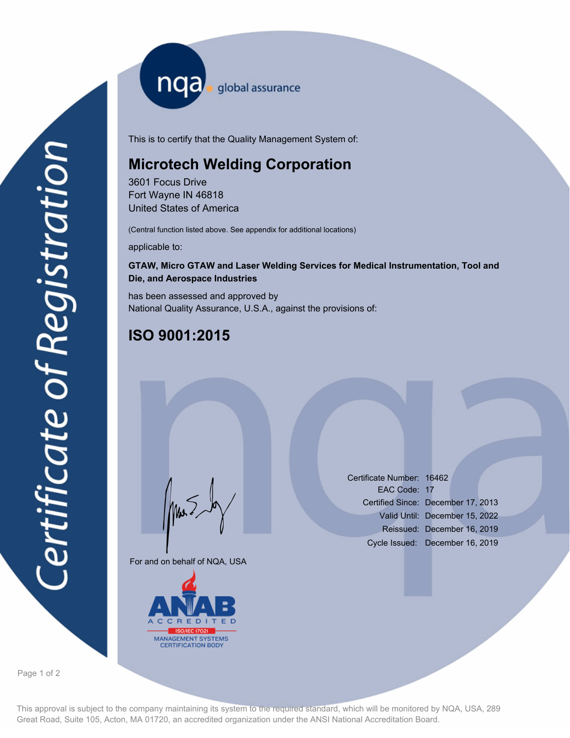nqa <sub>global assurance</sub>

This is to certify that the Quality Management System of:

# **Microtech Welding Corporation**

3601 Focus Drive Fort Wayne IN 46818 United States of America

(Central function listed above. See appendix for additional locations)

applicable to:

## **GTAW, Micro GTAW and Laser Welding Services for Medical Instrumentation, Tool and Die, and Aerospace Industries**

has been assessed and approved by National Quality Assurance, U.S.A., against the provisions of:

# **ISO 9001:2015**

For and on behalf of NQA, USA

Mus



Certificate Number: 16462 EAC Code: 17 Certified Since: December 17, 2013 Valid Until: December 15, 2022 Reissued: December 16, 2019 Cycle Issued: December 16, 2019

Page 1 of 2

This approval is subject to the company maintaining its system to the required standard, which will be monitored by NQA, USA, 289 Great Road, Suite 105, Acton, MA 01720, an accredited organization under the ANSI National Accreditation Board.